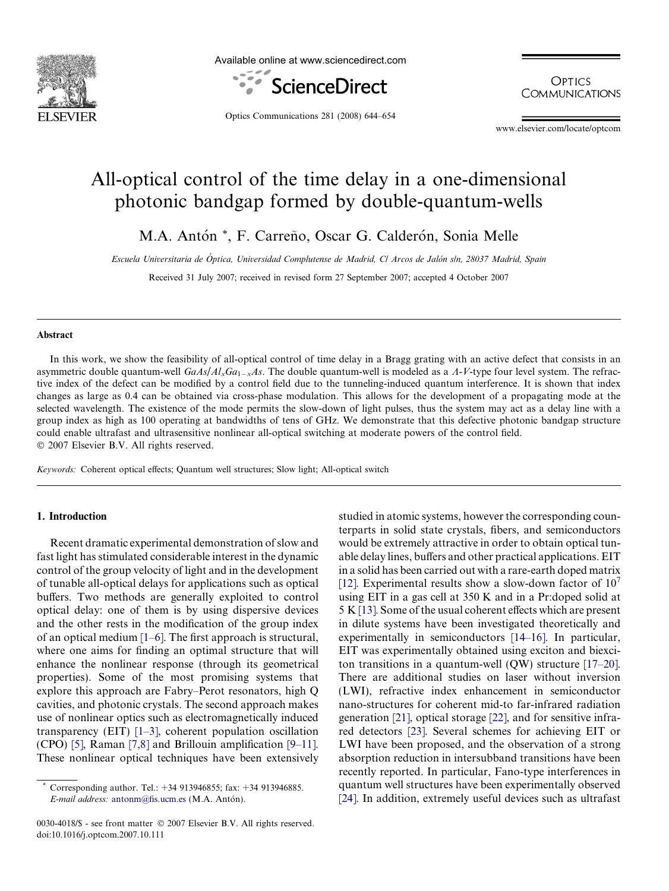

Available online at www.sciencedirect.com



**OPTICS COMMUNICATIONS** 

Optics Communications 281 (2008) 644–654

www.elsevier.com/locate/optcom

# All-optical control of the time delay in a one-dimensional photonic bandgap formed by double-quantum-wells

M.A. Antón \*, F. Carreño, Oscar G. Calderón, Sonia Melle

Escuela Universitaria de Óptica, Universidad Complutense de Madrid, C/ Arcos de Jalón s/n, 28037 Madrid, Spain

Received 31 July 2007; received in revised form 27 September 2007; accepted 4 October 2007

#### Abstract

In this work, we show the feasibility of all-optical control of time delay in a Bragg grating with an active defect that consists in an asymmetric double quantum-well  $GaAs/Al_xGa_{1-x}As$ . The double quantum-well is modeled as a  $A-V$ -type four level system. The refractive index of the defect can be modified by a control field due to the tunneling-induced quantum interference. It is shown that index changes as large as 0.4 can be obtained via cross-phase modulation. This allows for the development of a propagating mode at the selected wavelength. The existence of the mode permits the slow-down of light pulses, thus the system may act as a delay line with a group index as high as 100 operating at bandwidths of tens of GHz. We demonstrate that this defective photonic bandgap structure could enable ultrafast and ultrasensitive nonlinear all-optical switching at moderate powers of the control field.  $© 2007 Elsevier B.V. All rights reserved.$ 

Keywords: Coherent optical effects; Quantum well structures; Slow light; All-optical switch

## 1. Introduction

Recent dramatic experimental demonstration of slow and fast light has stimulated considerable interest in the dynamic control of the group velocity of light and in the development of tunable all-optical delays for applications such as optical buffers. Two methods are generally exploited to control optical delay: one of them is by using dispersive devices and the other rests in the modification of the group index of an optical medium [\[1–6\]](#page-9-0). The first approach is structural, where one aims for finding an optimal structure that will enhance the nonlinear response (through its geometrical properties). Some of the most promising systems that explore this approach are Fabry–Perot resonators, high Q cavities, and photonic crystals. The second approach makes use of nonlinear optics such as electromagnetically induced transparency (EIT) [\[1–3\],](#page-9-0) coherent population oscillation (CPO) [\[5\],](#page-9-0) Raman [\[7,8\]](#page-9-0) and Brillouin amplification [\[9–11\]](#page-9-0). These nonlinear optical techniques have been extensively

0030-4018/\$ - see front matter © 2007 Elsevier B.V. All rights reserved. doi:10.1016/j.optcom.2007.10.111

studied in atomic systems, however the corresponding counterparts in solid state crystals, fibers, and semiconductors would be extremely attractive in order to obtain optical tunable delay lines, buffers and other practical applications. EIT in a solid has been carried out with a rare-earth doped matrix [\[12\]](#page-9-0). Experimental results show a slow-down factor of  $10<sup>7</sup>$ using EIT in a gas cell at 350 K and in a Pr:doped solid at 5 K [\[13\]](#page-9-0). Some of the usual coherent effects which are present in dilute systems have been investigated theoretically and experimentally in semiconductors [\[14–16\]](#page-9-0). In particular, EIT was experimentally obtained using exciton and biexciton transitions in a quantum-well (QW) structure [\[17–20\]](#page-9-0). There are additional studies on laser without inversion (LWI), refractive index enhancement in semiconductor nano-structures for coherent mid-to far-infrared radiation generation [\[21\],](#page-9-0) optical storage [\[22\]](#page-9-0), and for sensitive infrared detectors [\[23\]](#page-9-0). Several schemes for achieving EIT or LWI have been proposed, and the observation of a strong absorption reduction in intersubband transitions have been recently reported. In particular, Fano-type interferences in quantum well structures have been experimentally observed [\[24\]](#page-9-0). In addition, extremely useful devices such as ultrafast

Corresponding author. Tel.: +34 913946855; fax: +34 913946885. E-mail address: [antonm@fis.ucm.es](mailto:antonm@fis.ucm.es) (M.A. Antón).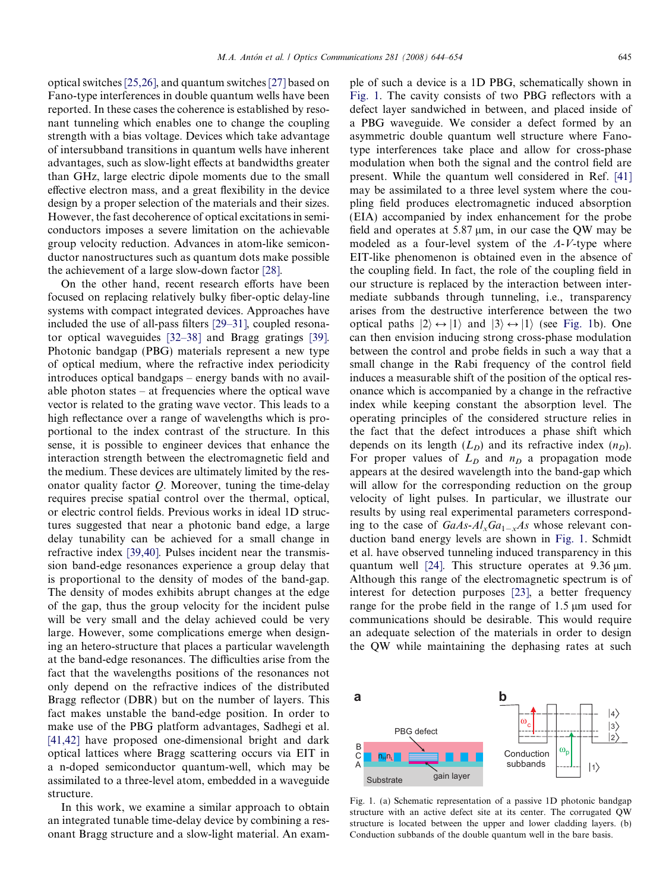<span id="page-1-0"></span>optical switches [\[25,26\],](#page-9-0) and quantum switches [\[27\]](#page-9-0) based on Fano-type interferences in double quantum wells have been reported. In these cases the coherence is established by resonant tunneling which enables one to change the coupling strength with a bias voltage. Devices which take advantage of intersubband transitions in quantum wells have inherent advantages, such as slow-light effects at bandwidths greater than GHz, large electric dipole moments due to the small effective electron mass, and a great flexibility in the device design by a proper selection of the materials and their sizes. However, the fast decoherence of optical excitations in semiconductors imposes a severe limitation on the achievable group velocity reduction. Advances in atom-like semiconductor nanostructures such as quantum dots make possible the achievement of a large slow-down factor [\[28\]](#page-9-0).

On the other hand, recent research efforts have been focused on replacing relatively bulky fiber-optic delay-line systems with compact integrated devices. Approaches have included the use of all-pass filters [\[29–31\],](#page-9-0) coupled resonator optical waveguides [\[32–38\]](#page-9-0) and Bragg gratings [\[39\].](#page-10-0) Photonic bandgap (PBG) materials represent a new type of optical medium, where the refractive index periodicity introduces optical bandgaps – energy bands with no available photon states – at frequencies where the optical wave vector is related to the grating wave vector. This leads to a high reflectance over a range of wavelengths which is proportional to the index contrast of the structure. In this sense, it is possible to engineer devices that enhance the interaction strength between the electromagnetic field and the medium. These devices are ultimately limited by the resonator quality factor Q. Moreover, tuning the time-delay requires precise spatial control over the thermal, optical, or electric control fields. Previous works in ideal 1D structures suggested that near a photonic band edge, a large delay tunability can be achieved for a small change in refractive index [\[39,40\].](#page-10-0) Pulses incident near the transmission band-edge resonances experience a group delay that is proportional to the density of modes of the band-gap. The density of modes exhibits abrupt changes at the edge of the gap, thus the group velocity for the incident pulse will be very small and the delay achieved could be very large. However, some complications emerge when designing an hetero-structure that places a particular wavelength at the band-edge resonances. The difficulties arise from the fact that the wavelengths positions of the resonances not only depend on the refractive indices of the distributed Bragg reflector (DBR) but on the number of layers. This fact makes unstable the band-edge position. In order to make use of the PBG platform advantages, Sadhegi et al. [\[41,42\]](#page-10-0) have proposed one-dimensional bright and dark optical lattices where Bragg scattering occurs via EIT in a n-doped semiconductor quantum-well, which may be assimilated to a three-level atom, embedded in a waveguide structure.

In this work, we examine a similar approach to obtain an integrated tunable time-delay device by combining a resonant Bragg structure and a slow-light material. An example of such a device is a 1D PBG, schematically shown in Fig. 1. The cavity consists of two PBG reflectors with a defect layer sandwiched in between, and placed inside of a PBG waveguide. We consider a defect formed by an asymmetric double quantum well structure where Fanotype interferences take place and allow for cross-phase modulation when both the signal and the control field are present. While the quantum well considered in Ref. [\[41\]](#page-10-0) may be assimilated to a three level system where the coupling field produces electromagnetic induced absorption (EIA) accompanied by index enhancement for the probe field and operates at  $5.87 \mu m$ , in our case the QW may be modeled as a four-level system of the  $A-V$ -type where EIT-like phenomenon is obtained even in the absence of the coupling field. In fact, the role of the coupling field in our structure is replaced by the interaction between intermediate subbands through tunneling, i.e., transparency arises from the destructive interference between the two optical paths  $|2\rangle \leftrightarrow |1\rangle$  and  $|3\rangle \leftrightarrow |1\rangle$  (see Fig. 1b). One can then envision inducing strong cross-phase modulation between the control and probe fields in such a way that a small change in the Rabi frequency of the control field induces a measurable shift of the position of the optical resonance which is accompanied by a change in the refractive index while keeping constant the absorption level. The operating principles of the considered structure relies in the fact that the defect introduces a phase shift which depends on its length  $(L<sub>D</sub>)$  and its refractive index  $(n<sub>D</sub>)$ . For proper values of  $L<sub>D</sub>$  and  $n<sub>D</sub>$  a propagation mode appears at the desired wavelength into the band-gap which will allow for the corresponding reduction on the group velocity of light pulses. In particular, we illustrate our results by using real experimental parameters corresponding to the case of  $GaAs-Al_xGa_{1-x}As$  whose relevant conduction band energy levels are shown in Fig. 1. Schmidt et al. have observed tunneling induced transparency in this quantum well [\[24\].](#page-9-0) This structure operates at  $9.36 \mu m$ . Although this range of the electromagnetic spectrum is of interest for detection purposes [\[23\],](#page-9-0) a better frequency range for the probe field in the range of  $1.5 \mu m$  used for communications should be desirable. This would require an adequate selection of the materials in order to design the QW while maintaining the dephasing rates at such



Fig. 1. (a) Schematic representation of a passive 1D photonic bandgap structure with an active defect site at its center. The corrugated QW structure is located between the upper and lower cladding layers. (b) Conduction subbands of the double quantum well in the bare basis.

 $|1\rangle$ 

gain layer

**Substrate**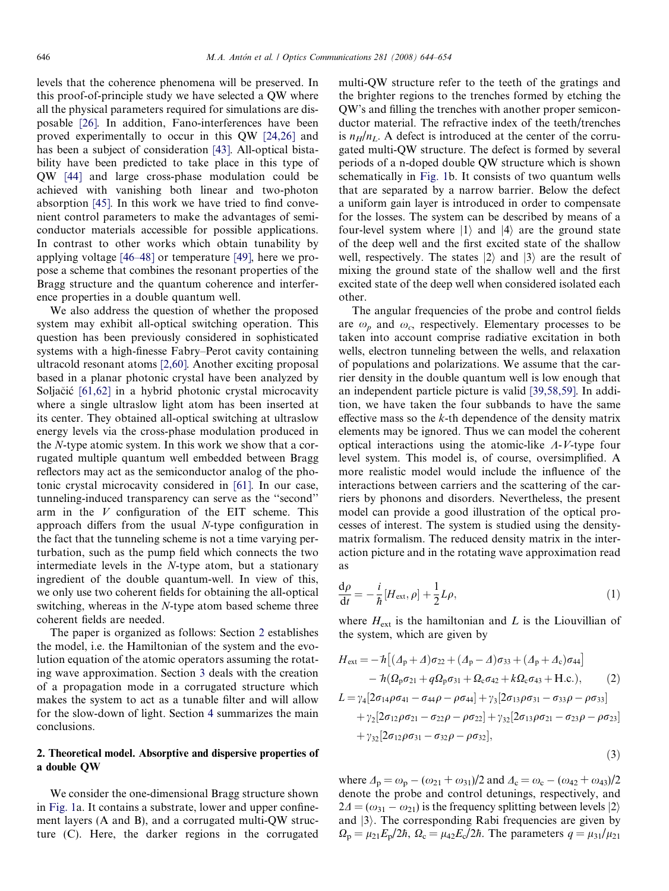levels that the coherence phenomena will be preserved. In this proof-of-principle study we have selected a QW where all the physical parameters required for simulations are disposable [\[26\]](#page-9-0). In addition, Fano-interferences have been proved experimentally to occur in this QW [\[24,26\]](#page-9-0) and has been a subject of consideration [\[43\].](#page-10-0) All-optical bistability have been predicted to take place in this type of QW [\[44\]](#page-10-0) and large cross-phase modulation could be achieved with vanishing both linear and two-photon absorption [\[45\].](#page-10-0) In this work we have tried to find convenient control parameters to make the advantages of semiconductor materials accessible for possible applications. In contrast to other works which obtain tunability by applying voltage [\[46–48\]](#page-10-0) or temperature [\[49\]](#page-10-0), here we propose a scheme that combines the resonant properties of the Bragg structure and the quantum coherence and interference properties in a double quantum well.

We also address the question of whether the proposed system may exhibit all-optical switching operation. This question has been previously considered in sophisticated systems with a high-finesse Fabry–Perot cavity containing ultracold resonant atoms [\[2,60\].](#page-9-0) Another exciting proposal based in a planar photonic crystal have been analyzed by Soljačić  $[61,62]$  in a hybrid photonic crystal microcavity where a single ultraslow light atom has been inserted at its center. They obtained all-optical switching at ultraslow energy levels via the cross-phase modulation produced in the N-type atomic system. In this work we show that a corrugated multiple quantum well embedded between Bragg reflectors may act as the semiconductor analog of the photonic crystal microcavity considered in [\[61\]](#page-10-0). In our case, tunneling-induced transparency can serve as the ''second'' arm in the  $V$  configuration of the EIT scheme. This approach differs from the usual N-type configuration in the fact that the tunneling scheme is not a time varying perturbation, such as the pump field which connects the two intermediate levels in the N-type atom, but a stationary ingredient of the double quantum-well. In view of this, we only use two coherent fields for obtaining the all-optical switching, whereas in the N-type atom based scheme three coherent fields are needed.

The paper is organized as follows: Section 2 establishes the model, i.e. the Hamiltonian of the system and the evolution equation of the atomic operators assuming the rotating wave approximation. Section [3](#page-4-0) deals with the creation of a propagation mode in a corrugated structure which makes the system to act as a tunable filter and will allow for the slow-down of light. Section [4](#page-9-0) summarizes the main conclusions.

# 2. Theoretical model. Absorptive and dispersive properties of a double QW

We consider the one-dimensional Bragg structure shown in [Fig. 1](#page-1-0)a. It contains a substrate, lower and upper confinement layers (A and B), and a corrugated multi-QW structure (C). Here, the darker regions in the corrugated multi-QW structure refer to the teeth of the gratings and the brighter regions to the trenches formed by etching the QW's and filling the trenches with another proper semiconductor material. The refractive index of the teeth/trenches is  $n_H/n_L$ . A defect is introduced at the center of the corrugated multi-QW structure. The defect is formed by several periods of a n-doped double QW structure which is shown schematically in [Fig. 1](#page-1-0)b. It consists of two quantum wells that are separated by a narrow barrier. Below the defect a uniform gain layer is introduced in order to compensate for the losses. The system can be described by means of a four-level system where  $|1\rangle$  and  $|4\rangle$  are the ground state of the deep well and the first excited state of the shallow well, respectively. The states  $|2\rangle$  and  $|3\rangle$  are the result of mixing the ground state of the shallow well and the first excited state of the deep well when considered isolated each other.

The angular frequencies of the probe and control fields are  $\omega_p$  and  $\omega_c$ , respectively. Elementary processes to be taken into account comprise radiative excitation in both wells, electron tunneling between the wells, and relaxation of populations and polarizations. We assume that the carrier density in the double quantum well is low enough that an independent particle picture is valid [\[39,58,59\].](#page-10-0) In addition, we have taken the four subbands to have the same effective mass so the  $k$ -th dependence of the density matrix elements may be ignored. Thus we can model the coherent optical interactions using the atomic-like  $\Lambda$ -V-type four level system. This model is, of course, oversimplified. A more realistic model would include the influence of the interactions between carriers and the scattering of the carriers by phonons and disorders. Nevertheless, the present model can provide a good illustration of the optical processes of interest. The system is studied using the densitymatrix formalism. The reduced density matrix in the interaction picture and in the rotating wave approximation read as

$$
\frac{\mathrm{d}\rho}{\mathrm{d}t} = -\frac{i}{\hbar} [H_{\text{ext}}, \rho] + \frac{1}{2} L\rho,\tag{1}
$$

where  $H_{ext}$  is the hamiltonian and L is the Liouvillian of the system, which are given by

$$
H_{ext} = -\hbar \left[ (\Delta_p + \Delta) \sigma_{22} + (\Delta_p - \Delta) \sigma_{33} + (\Delta_p + \Delta_c) \sigma_{44} \right] - \hbar (\Omega_p \sigma_{21} + q \Omega_p \sigma_{31} + \Omega_c \sigma_{42} + k \Omega_c \sigma_{43} + H.c.),
$$
(2)  

$$
L = \gamma_4 [2 \sigma_{14} \rho \sigma_{41} - \sigma_{44} \rho - \rho \sigma_{44}] + \gamma_3 [2 \sigma_{13} \rho \sigma_{31} - \sigma_{33} \rho - \rho \sigma_{33}] + \gamma_2 [2 \sigma_{12} \rho \sigma_{21} - \sigma_{22} \rho - \rho \sigma_{22}] + \gamma_{32} [2 \sigma_{13} \rho \sigma_{21} - \sigma_{23} \rho - \rho \sigma_{23}] + \gamma_{32} [2 \sigma_{12} \rho \sigma_{31} - \sigma_{32} \rho - \rho \sigma_{32}],
$$
(2)

$$
(\mathbf{3})
$$

where  $\Delta_p = \omega_p - (\omega_{21} + \omega_{31})/2$  and  $\Delta_c = \omega_c - (\omega_{42} + \omega_{43})/2$ denote the probe and control detunings, respectively, and  $2\Delta = (\omega_{31} - \omega_{21})$  is the frequency splitting between levels  $|2\rangle$ and  $|3\rangle$ . The corresponding Rabi frequencies are given by  $\Omega_{\rm p} = \mu_{21} E_{\rm p}/2\hbar$ ,  $\Omega_{\rm c} = \mu_{42} E_{\rm c}/2\hbar$ . The parameters  $q = \mu_{31}/\mu_{21}$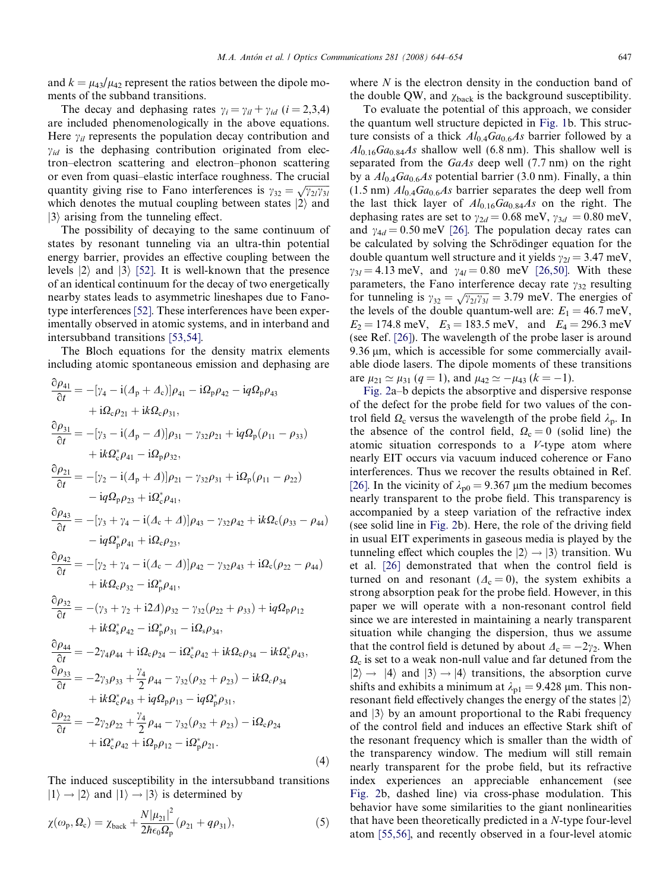<span id="page-3-0"></span>and  $k = \mu_{43}/\mu_{42}$  represent the ratios between the dipole moments of the subband transitions.

The decay and dephasing rates  $\gamma_i = \gamma_{il} + \gamma_{id}$  (i = 2,3,4) are included phenomenologically in the above equations. Here  $\gamma_{il}$  represents the population decay contribution and  $\gamma_{id}$  is the dephasing contribution originated from electron–electron scattering and electron–phonon scattering or even from quasi–elastic interface roughness. The crucial quantity giving rise to Fano interferences is  $\gamma_{32} = \sqrt{\gamma_{21}\gamma_{31}}$ which denotes the mutual coupling between states  $|2\rangle$  and  $|3\rangle$  arising from the tunneling effect.

The possibility of decaying to the same continuum of states by resonant tunneling via an ultra-thin potential energy barrier, provides an effective coupling between the levels  $|2\rangle$  and  $|3\rangle$  [\[52\]](#page-10-0). It is well-known that the presence of an identical continuum for the decay of two energetically nearby states leads to asymmetric lineshapes due to Fanotype interferences [\[52\].](#page-10-0) These interferences have been experimentally observed in atomic systems, and in interband and intersubband transitions [\[53,54\].](#page-10-0)

The Bloch equations for the density matrix elements including atomic spontaneous emission and dephasing are

$$
\frac{\partial \rho_{41}}{\partial t} = -[\gamma_4 - i(A_p + A_c)]\rho_{41} - i\Omega_p \rho_{42} - iq\Omega_p \rho_{43}\n+ i\Omega_c \rho_{21} + ik\Omega_c \rho_{31},\n\frac{\partial \rho_{31}}{\partial t} = -[\gamma_3 - i(A_p - A)]\rho_{31} - \gamma_{32}\rho_{21} + iq\Omega_p(\rho_{11} - \rho_{33})\n+ ik\Omega_c^* \rho_{41} - i\Omega_p \rho_{32},\n\frac{\partial \rho_{21}}{\partial t} = -[\gamma_2 - i(A_p + A)]\rho_{21} - \gamma_{32}\rho_{31} + i\Omega_p(\rho_{11} - \rho_{22})\n- iq\Omega_p \rho_{23} + i\Omega_c^* \rho_{41},\n\frac{\partial \rho_{43}}{\partial t} = -[\gamma_3 + \gamma_4 - i(A_c + A)]\rho_{43} - \gamma_{32}\rho_{42} + ik\Omega_c(\rho_{33} - \rho_{44})\n- iq\Omega_p^* \rho_{41} + i\Omega_c \rho_{23},\n\frac{\partial \rho_{42}}{\partial t} = -[\gamma_2 + \gamma_4 - i(A_c - A)]\rho_{42} - \gamma_{32}\rho_{43} + i\Omega_c(\rho_{22} - \rho_{44})\n+ ik\Omega_c \rho_{32} - i\Omega_p^* \rho_{41},\n\frac{\partial \rho_{32}}{\partial t} = -(\gamma_3 + \gamma_2 + i2A)\rho_{32} - \gamma_{32}(\rho_{22} + \rho_{33}) + iq\Omega_p \rho_{12}\n+ ik\Omega_s^* \rho_{42} - i\Omega_p^* \rho_{31} - i\Omega_s \rho_{34},\n\frac{\partial \rho_{44}}{\partial t} = -2\gamma_4 \rho_{44} + i\Omega_c \rho_{24} - i\Omega_c^* \rho_{42} + ik\Omega_c \rho_{34} - ik\Omega_c^* \rho_{43},\n\frac{\partial \rho_{33}}{\partial t} = -2\gamma_3 \rho_{33} + \frac{\gamma_4}{2} \rho_{44} - \gamma_{32}(\rho_{32} + \rho_{23}) - ik\Omega_c \rho_{34}\n+ ik\Omega_c^* \rho_{43} + iq\Omega_p \
$$

The induced susceptibility in the intersubband transitions  $|1\rangle \rightarrow |2\rangle$  and  $|1\rangle \rightarrow |3\rangle$  is determined by

$$
\chi(\omega_{\rm p}, \Omega_{\rm c}) = \chi_{\rm back} + \frac{N|\mu_{21}|^2}{2\hbar\epsilon_0\Omega_{\rm p}}(\rho_{21} + q\rho_{31}),
$$
\n(5)

where  $N$  is the electron density in the conduction band of the double QW, and  $\chi_{\text{back}}$  is the background susceptibility.

To evaluate the potential of this approach, we consider the quantum well structure depicted in [Fig. 1](#page-1-0)b. This structure consists of a thick  $Al_{0.4}Ga_{0.6}As$  barrier followed by a  $Al_{0.16}Ga_{0.84}As$  shallow well (6.8 nm). This shallow well is separated from the GaAs deep well (7.7 nm) on the right by a  $Al_{0.4}Ga_{0.6}As$  potential barrier (3.0 nm). Finally, a thin (1.5 nm)  $Al_{0.4}Ga_{0.6}As$  barrier separates the deep well from the last thick layer of  $Al_{0.16}Ga_{0.84}As$  on the right. The dephasing rates are set to  $\gamma_{2d} = 0.68$  meV,  $\gamma_{3d} = 0.80$  meV, and  $\gamma_{4d} = 0.50$  meV [\[26\].](#page-9-0) The population decay rates can be calculated by solving the Schrödinger equation for the double quantum well structure and it yields  $\gamma_{2l} = 3.47$  meV,  $\gamma_{3l} = 4.13 \text{ meV}$ , and  $\gamma_{4l} = 0.80 \text{ meV}$  [\[26,50\]](#page-9-0). With these parameters, the Fano interference decay rate  $\gamma_{32}$  resulting for tunneling is  $\gamma_{32} = \sqrt{\gamma_{21}\gamma_{31}} = 3.79$  meV. The energies of the levels of the double quantum-well are:  $E_1 = 46.7$  meV,  $E_2 = 174.8$  meV,  $E_3 = 183.5$  meV, and  $E_4 = 296.3$  meV (see Ref. [\[26\]](#page-9-0)). The wavelength of the probe laser is around 9.36  $\mu$ m, which is accessible for some commercially available diode lasers. The dipole moments of these transitions are  $\mu_{21} \simeq \mu_{31}$   $(q = 1)$ , and  $\mu_{42} \simeq -\mu_{43}$   $(k = -1)$ .

[Fig. 2](#page-4-0)a–b depicts the absorptive and dispersive response of the defect for the probe field for two values of the control field  $\Omega_c$  versus the wavelength of the probe field  $\lambda_p$ . In the absence of the control field,  $\Omega_c = 0$  (solid line) the atomic situation corresponds to a V-type atom where nearly EIT occurs via vacuum induced coherence or Fano interferences. Thus we recover the results obtained in Ref. [\[26\].](#page-9-0) In the vicinity of  $\lambda_{p0} = 9.367$  µm the medium becomes nearly transparent to the probe field. This transparency is accompanied by a steep variation of the refractive index (see solid line in [Fig. 2b](#page-4-0)). Here, the role of the driving field in usual EIT experiments in gaseous media is played by the tunneling effect which couples the  $|2\rangle \rightarrow |3\rangle$  transition. Wu et al. [\[26\]](#page-9-0) demonstrated that when the control field is turned on and resonant ( $\Delta_c = 0$ ), the system exhibits a strong absorption peak for the probe field. However, in this paper we will operate with a non-resonant control field since we are interested in maintaining a nearly transparent situation while changing the dispersion, thus we assume that the control field is detuned by about  $\Delta_c = -2\gamma_2$ . When  $\Omega_c$  is set to a weak non-null value and far detuned from the  $|2\rangle \rightarrow |4\rangle$  and  $|3\rangle \rightarrow |4\rangle$  transitions, the absorption curve shifts and exhibits a minimum at  $\lambda_{p1} = 9.428$  µm. This nonresonant field effectively changes the energy of the states  $|2\rangle$ and  $|3\rangle$  by an amount proportional to the Rabi frequency of the control field and induces an effective Stark shift of the resonant frequency which is smaller than the width of the transparency window. The medium will still remain nearly transparent for the probe field, but its refractive index experiences an appreciable enhancement (see [Fig. 2](#page-4-0)b, dashed line) via cross-phase modulation. This behavior have some similarities to the giant nonlinearities that have been theoretically predicted in a N-type four-level atom [\[55,56\]](#page-10-0), and recently observed in a four-level atomic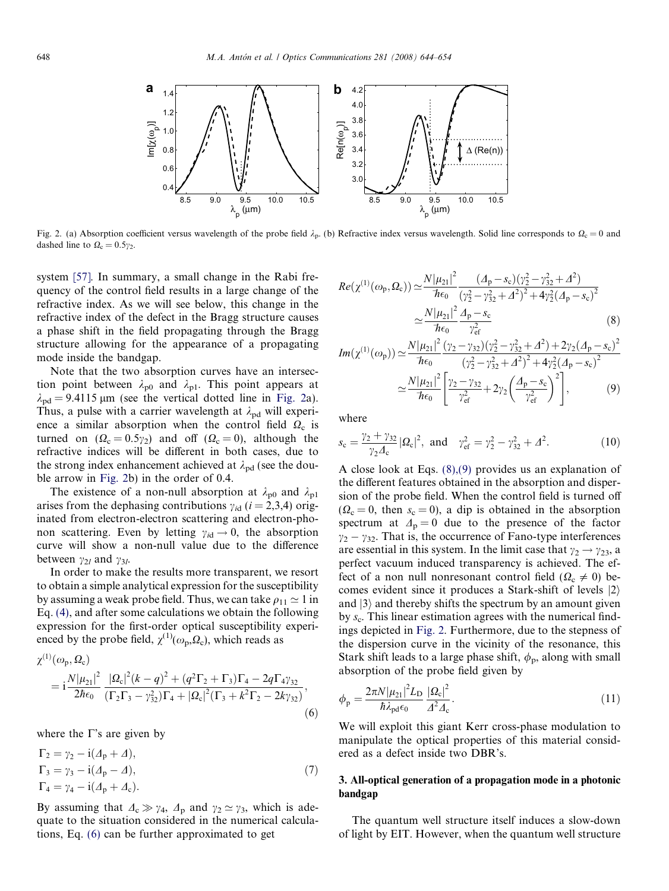<span id="page-4-0"></span>

Fig. 2. (a) Absorption coefficient versus wavelength of the probe field  $\lambda_p$ . (b) Refractive index versus wavelength. Solid line corresponds to  $\Omega_c = 0$  and dashed line to  $\Omega_c = 0.5\gamma_2$ .

system [\[57\].](#page-10-0) In summary, a small change in the Rabi frequency of the control field results in a large change of the refractive index. As we will see below, this change in the refractive index of the defect in the Bragg structure causes a phase shift in the field propagating through the Bragg structure allowing for the appearance of a propagating mode inside the bandgap.

Note that the two absorption curves have an intersection point between  $\lambda_{p0}$  and  $\lambda_{p1}$ . This point appears at  $\lambda_{\rm pd}$  = 9.4115 µm (see the vertical dotted line in Fig. 2a). Thus, a pulse with a carrier wavelength at  $\lambda_{\text{pd}}$  will experience a similar absorption when the control field  $\Omega_c$  is turned on  $(\Omega_c = 0.5\gamma_2)$  and off  $(\Omega_c = 0)$ , although the refractive indices will be different in both cases, due to the strong index enhancement achieved at  $\lambda_{\rm pd}$  (see the double arrow in Fig. 2b) in the order of 0.4.

The existence of a non-null absorption at  $\lambda_{p0}$  and  $\lambda_{p1}$ arises from the dephasing contributions  $\gamma_{id}$  ( $i = 2,3,4$ ) originated from electron-electron scattering and electron-phonon scattering. Even by letting  $\gamma_{id} \rightarrow 0$ , the absorption curve will show a non-null value due to the difference between  $\gamma_{2l}$  and  $\gamma_{3l}$ .

In order to make the results more transparent, we resort to obtain a simple analytical expression for the susceptibility by assuming a weak probe field. Thus, we can take  $\rho_{11} \simeq 1$  in Eq. [\(4\),](#page-3-0) and after some calculations we obtain the following expression for the first-order optical susceptibility experienced by the probe field,  $\chi^{(1)}(\omega_{p},\Omega_{c})$ , which reads as

$$
\chi^{(1)}(\omega_{p}, \Omega_{c})
$$
\n
$$
= i \frac{N |\mu_{21}|^2}{2\hbar \epsilon_0} \frac{|\Omega_{c}|^2 (k-q)^2 + (q^2 \Gamma_2 + \Gamma_3) \Gamma_4 - 2q \Gamma_4 \gamma_{32}}{(\Gamma_2 \Gamma_3 - \gamma_{32}^2) \Gamma_4 + |\Omega_{c}|^2 (\Gamma_3 + k^2 \Gamma_2 - 2k \gamma_{32})},
$$
\n(6)

where the  $\Gamma$ 's are given by

$$
\Gamma_2 = \gamma_2 - i(\Delta_p + \Delta),
$$
  
\n
$$
\Gamma_3 = \gamma_3 - i(\Delta_p - \Delta),
$$
  
\n
$$
\Gamma_4 = \gamma_4 - i(\Delta_p + \Delta_c).
$$
\n(7)

By assuming that  $\Delta_c \gg \gamma_4$ ,  $\Delta_p$  and  $\gamma_2 \simeq \gamma_3$ , which is adequate to the situation considered in the numerical calculations, Eq. (6) can be further approximated to get

$$
Re(\chi^{(1)}(\omega_{p}, \Omega_{c})) \simeq \frac{N|\mu_{21}|^{2}}{\hbar \epsilon_{0}} \frac{(A_{p} - s_{c})(\gamma_{2}^{2} - \gamma_{32}^{2} + A^{2})}{(\gamma_{2}^{2} - \gamma_{32}^{2} + A^{2})^{2} + 4\gamma_{2}^{2}(A_{p} - s_{c})^{2}}
$$

$$
\simeq \frac{N|\mu_{21}|^{2}}{\hbar \epsilon_{0}} \frac{A_{p} - s_{c}}{\gamma_{ef}^{2}}
$$
(8)

$$
Im(\chi^{(1)}(\omega_{p})) \simeq \frac{N|\mu_{21}|^{2}}{\hbar \epsilon_{0}} \frac{(\gamma_{2} - \gamma_{32})(\gamma_{2}^{2} - \gamma_{32}^{2} + \Delta^{2}) + 2\gamma_{2}(\Delta_{p} - s_{c})^{2}}{(\gamma_{2}^{2} - \gamma_{32}^{2} + \Delta^{2})^{2} + 4\gamma_{2}^{2}(\Delta_{p} - s_{c})^{2}}
$$

$$
\simeq \frac{N|\mu_{21}|^{2}}{\hbar \epsilon_{0}} \left[ \frac{\gamma_{2} - \gamma_{32}}{\gamma_{\text{ef}}^{2}} + 2\gamma_{2} \left( \frac{\Delta_{p} - s_{c}}{\gamma_{\text{ef}}^{2}} \right)^{2} \right],
$$
(9)

where

$$
s_{\rm c} = \frac{\gamma_2 + \gamma_{32}}{\gamma_2 A_{\rm c}} |\Omega_{\rm c}|^2, \text{ and } \gamma_{\rm ef}^2 = \gamma_2^2 - \gamma_{32}^2 + \Delta^2. \tag{10}
$$

A close look at Eqs. (8),(9) provides us an explanation of the different features obtained in the absorption and dispersion of the probe field. When the control field is turned off  $(\Omega_c = 0$ , then  $s_c = 0$ ), a dip is obtained in the absorption spectrum at  $\Delta_p = 0$  due to the presence of the factor  $\gamma_2 - \gamma_{32}$ . That is, the occurrence of Fano-type interferences are essential in this system. In the limit case that  $\gamma_2 \rightarrow \gamma_{23}$ , a perfect vacuum induced transparency is achieved. The effect of a non null nonresonant control field ( $\Omega_c \neq 0$ ) becomes evident since it produces a Stark-shift of levels  $|2\rangle$ and  $|3\rangle$  and thereby shifts the spectrum by an amount given by  $s_c$ . This linear estimation agrees with the numerical findings depicted in Fig. 2. Furthermore, due to the stepness of the dispersion curve in the vicinity of the resonance, this Stark shift leads to a large phase shift,  $\phi_p$ , along with small absorption of the probe field given by

$$
\phi_{\rm p} = \frac{2\pi N |\mu_{21}|^2 L_{\rm D}}{\hbar \lambda_{\rm pd}\epsilon_0} \frac{|\Omega_{\rm c}|^2}{\Delta^2 \Delta_{\rm c}}.
$$
\n(11)

We will exploit this giant Kerr cross-phase modulation to manipulate the optical properties of this material considered as a defect inside two DBR's.

# 3. All-optical generation of a propagation mode in a photonic bandgap

The quantum well structure itself induces a slow-down of light by EIT. However, when the quantum well structure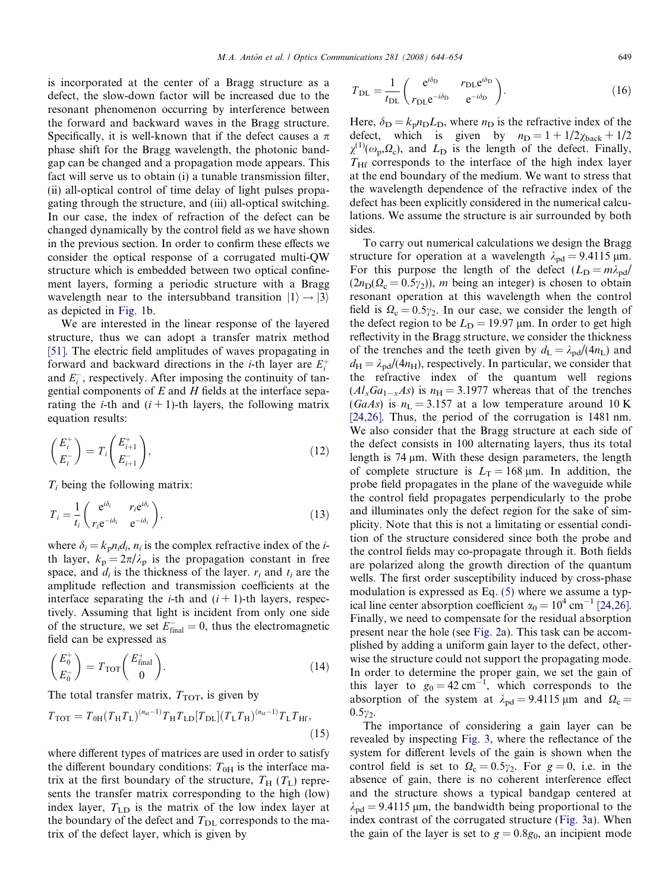is incorporated at the center of a Bragg structure as a defect, the slow-down factor will be increased due to the resonant phenomenon occurring by interference between the forward and backward waves in the Bragg structure. Specifically, it is well-known that if the defect causes a  $\pi$ phase shift for the Bragg wavelength, the photonic bandgap can be changed and a propagation mode appears. This fact will serve us to obtain (i) a tunable transmission filter, (ii) all-optical control of time delay of light pulses propagating through the structure, and (iii) all-optical switching. In our case, the index of refraction of the defect can be changed dynamically by the control field as we have shown in the previous section. In order to confirm these effects we consider the optical response of a corrugated multi-QW structure which is embedded between two optical confinement layers, forming a periodic structure with a Bragg wavelength near to the intersubband transition  $|1\rangle \rightarrow |3\rangle$ as depicted in [Fig. 1b](#page-1-0).

We are interested in the linear response of the layered structure, thus we can adopt a transfer matrix method [\[51\].](#page-10-0) The electric field amplitudes of waves propagating in forward and backward directions in the *i*-th layer are  $E_i^+$ and  $E_i^-$ , respectively. After imposing the continuity of tangential components of  $E$  and  $H$  fields at the interface separating the *i*-th and  $(i + 1)$ -th layers, the following matrix equation results:

$$
\begin{pmatrix} E_i^+ \\ E_i^- \end{pmatrix} = T_i \begin{pmatrix} E_{i+1}^+ \\ E_{i+1}^- \end{pmatrix}, \tag{12}
$$

 $T_i$  being the following matrix:

$$
T_i = \frac{1}{t_i} \begin{pmatrix} e^{i\delta_i} & r_i e^{i\delta_i} \\ r_i e^{-i\delta_i} & e^{-i\delta_i} \end{pmatrix},
$$
\n(13)

where  $\delta_i = k_p n_i d_i$ ,  $n_i$  is the complex refractive index of the *i*th layer,  $k_p = 2\pi/\lambda_p$  is the propagation constant in free space, and  $d_i$  is the thickness of the layer.  $r_i$  and  $t_i$  are the amplitude reflection and transmission coefficients at the interface separating the *i*-th and  $(i + 1)$ -th layers, respectively. Assuming that light is incident from only one side of the structure, we set  $E_{\text{final}}^- = 0$ , thus the electromagnetic field can be expressed as

$$
\begin{pmatrix} E_0^+ \\ E_0^- \end{pmatrix} = T_{\text{TOT}} \begin{pmatrix} E_{\text{final}}^+ \\ 0 \end{pmatrix} . \tag{14}
$$

The total transfer matrix,  $T_{\text{TOT}}$ , is given by

$$
T_{\text{TOT}} = T_{0\text{H}} (T_{\text{H}} T_{\text{L}})^{(n_{\text{st}}-1)} T_{\text{H}} T_{\text{LD}} [T_{\text{DL}}] (T_{\text{L}} T_{\text{H}})^{(n_{\text{st}}-1)} T_{\text{L}} T_{\text{Hf}},
$$
\n(15)

where different types of matrices are used in order to satisfy the different boundary conditions:  $T_{0H}$  is the interface matrix at the first boundary of the structure,  $T_H$  ( $T_L$ ) represents the transfer matrix corresponding to the high (low) index layer,  $T_{LD}$  is the matrix of the low index layer at the boundary of the defect and  $T_{\text{DL}}$  corresponds to the matrix of the defect layer, which is given by

$$
T_{\rm DL} = \frac{1}{t_{\rm DL}} \begin{pmatrix} e^{i\delta_{\rm D}} & r_{\rm DL} e^{i\delta_{\rm D}} \\ r_{\rm DL} e^{-i\delta_{\rm D}} & e^{-i\delta_{\rm D}} \end{pmatrix}.
$$
 (16)

Here,  $\delta_{\rm D} = k_{\rm p} n_{\rm D} L_{\rm D}$ , where  $n_{\rm D}$  is the refractive index of the defect, which is given by  $n_D = 1 + 1/2\chi_{\text{back}} + 1/2$  $\chi^{(1)}(\omega_{\rm p},\Omega_{\rm c})$ , and  $L_{\rm D}$  is the length of the defect. Finally,  $T<sub>HF</sub>$  corresponds to the interface of the high index layer at the end boundary of the medium. We want to stress that the wavelength dependence of the refractive index of the defect has been explicitly considered in the numerical calculations. We assume the structure is air surrounded by both sides.

To carry out numerical calculations we design the Bragg structure for operation at a wavelength  $\lambda_{pd} = 9.4115 \,\mu \text{m}$ . For this purpose the length of the defect  $(L_D = m\lambda_{pd})$  $(2n_D(\Omega_c = 0.5\gamma_2))$ , *m* being an integer) is chosen to obtain resonant operation at this wavelength when the control field is  $\Omega_c = 0.5\gamma_2$ . In our case, we consider the length of the defect region to be  $L_D = 19.97 \,\mu \text{m}$ . In order to get high reflectivity in the Bragg structure, we consider the thickness of the trenches and the teeth given by  $d_{\rm L} = \lambda_{\rm pd}/(4n_{\rm L})$  and  $d_{\rm H} = \lambda_{\rm pd} / (4n_{\rm H})$ , respectively. In particular, we consider that the refractive index of the quantum well regions  $(Al_xGa_{1-x}As)$  is  $n_{\rm H} = 3.1977$  whereas that of the trenches (GaAs) is  $n_L = 3.157$  at a low temperature around 10 K [\[24,26\].](#page-9-0) Thus, the period of the corrugation is 1481 nm. We also consider that the Bragg structure at each side of the defect consists in 100 alternating layers, thus its total length is 74 um. With these design parameters, the length of complete structure is  $L_T = 168 \text{ µm}$ . In addition, the probe field propagates in the plane of the waveguide while the control field propagates perpendicularly to the probe and illuminates only the defect region for the sake of simplicity. Note that this is not a limitating or essential condition of the structure considered since both the probe and the control fields may co-propagate through it. Both fields are polarized along the growth direction of the quantum wells. The first order susceptibility induced by cross-phase modulation is expressed as Eq. [\(5\)](#page-3-0) where we assume a typical line center absorption coefficient  $\alpha_0 = 10^4$  cm<sup>-1</sup> [\[24,26\].](#page-9-0) Finally, we need to compensate for the residual absorption present near the hole (see [Fig. 2](#page-4-0)a). This task can be accomplished by adding a uniform gain layer to the defect, otherwise the structure could not support the propagating mode. In order to determine the proper gain, we set the gain of this layer to  $g_0 = 42 \text{ cm}^{-1}$ , which corresponds to the absorption of the system at  $\lambda_{pd} = 9.4115 \,\mu \text{m}$  and  $\Omega_c =$  $0.5\gamma_2$ .

The importance of considering a gain layer can be revealed by inspecting [Fig. 3](#page-6-0), where the reflectance of the system for different levels of the gain is shown when the control field is set to  $\Omega_c = 0.5\gamma_2$ . For  $g = 0$ , i.e. in the absence of gain, there is no coherent interference effect and the structure shows a typical bandgap centered at  $\lambda_{pd} = 9.4115$  µm, the bandwidth being proportional to the index contrast of the corrugated structure ([Fig. 3](#page-6-0)a). When the gain of the layer is set to  $g = 0.8g_0$ , an incipient mode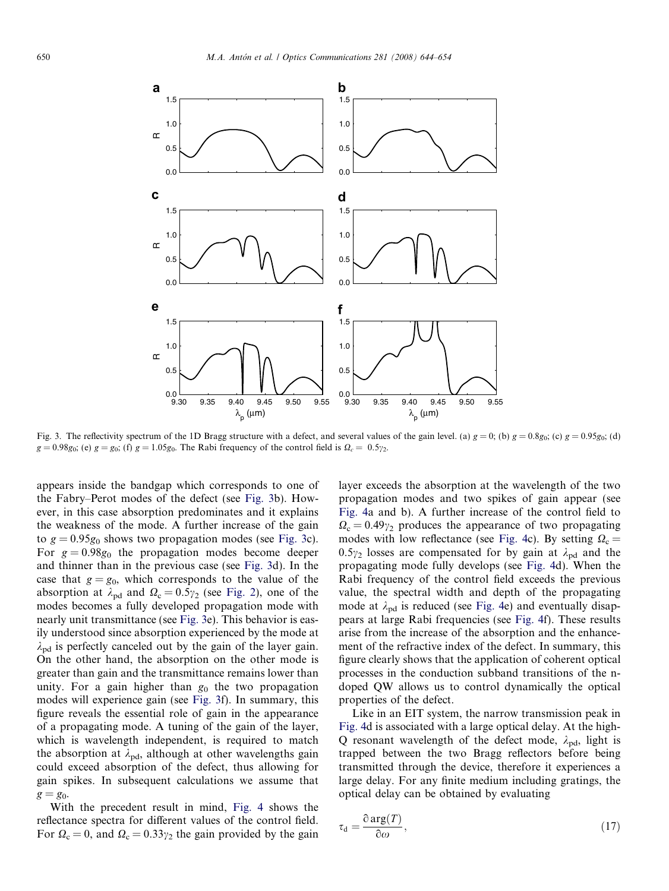<span id="page-6-0"></span>

Fig. 3. The reflectivity spectrum of the 1D Bragg structure with a defect, and several values of the gain level. (a)  $g = 0$ ; (b)  $g = 0.8g_0$ ; (c)  $g = 0.95g_0$ ; (d)  $g = 0.98g_0$ ; (e)  $g = g_0$ ; (f)  $g = 1.05g_0$ . The Rabi frequency of the control field is  $\Omega_c = 0.5\gamma_2$ .

appears inside the bandgap which corresponds to one of the Fabry–Perot modes of the defect (see Fig. 3b). However, in this case absorption predominates and it explains the weakness of the mode. A further increase of the gain to  $g = 0.95g_0$  shows two propagation modes (see Fig. 3c). For  $g = 0.98g_0$  the propagation modes become deeper and thinner than in the previous case (see Fig. 3d). In the case that  $g = g_0$ , which corresponds to the value of the absorption at  $\lambda_{pd}$  and  $\Omega_c = 0.5\gamma_2$  (see [Fig. 2\)](#page-4-0), one of the modes becomes a fully developed propagation mode with nearly unit transmittance (see Fig. 3e). This behavior is easily understood since absorption experienced by the mode at  $\lambda_{\rm pd}$  is perfectly canceled out by the gain of the layer gain. On the other hand, the absorption on the other mode is greater than gain and the transmittance remains lower than unity. For a gain higher than  $g_0$  the two propagation modes will experience gain (see Fig. 3f). In summary, this figure reveals the essential role of gain in the appearance of a propagating mode. A tuning of the gain of the layer, which is wavelength independent, is required to match the absorption at  $\lambda_{\rm pd}$ , although at other wavelengths gain could exceed absorption of the defect, thus allowing for gain spikes. In subsequent calculations we assume that  $g = g_0$ .

With the precedent result in mind, [Fig. 4](#page-7-0) shows the reflectance spectra for different values of the control field. For  $\Omega_c = 0$ , and  $\Omega_c = 0.33\gamma_2$  the gain provided by the gain layer exceeds the absorption at the wavelength of the two propagation modes and two spikes of gain appear (see [Fig. 4a](#page-7-0) and b). A further increase of the control field to  $\Omega_c = 0.49\gamma_2$  produces the appearance of two propagating modes with low reflectance (see [Fig. 4](#page-7-0)c). By setting  $\Omega_c =$  $0.5\gamma_2$  losses are compensated for by gain at  $\lambda_{pd}$  and the propagating mode fully develops (see [Fig. 4d](#page-7-0)). When the Rabi frequency of the control field exceeds the previous value, the spectral width and depth of the propagating mode at  $\lambda_{pd}$  is reduced (see [Fig. 4](#page-7-0)e) and eventually disappears at large Rabi frequencies (see [Fig. 4](#page-7-0)f). These results arise from the increase of the absorption and the enhancement of the refractive index of the defect. In summary, this figure clearly shows that the application of coherent optical processes in the conduction subband transitions of the ndoped QW allows us to control dynamically the optical properties of the defect.

Like in an EIT system, the narrow transmission peak in [Fig. 4](#page-7-0)d is associated with a large optical delay. At the high-Q resonant wavelength of the defect mode,  $\lambda_{\text{nd}}$ , light is trapped between the two Bragg reflectors before being transmitted through the device, therefore it experiences a large delay. For any finite medium including gratings, the optical delay can be obtained by evaluating

$$
\tau_{\rm d} = \frac{\partial \arg(T)}{\partial \omega},\tag{17}
$$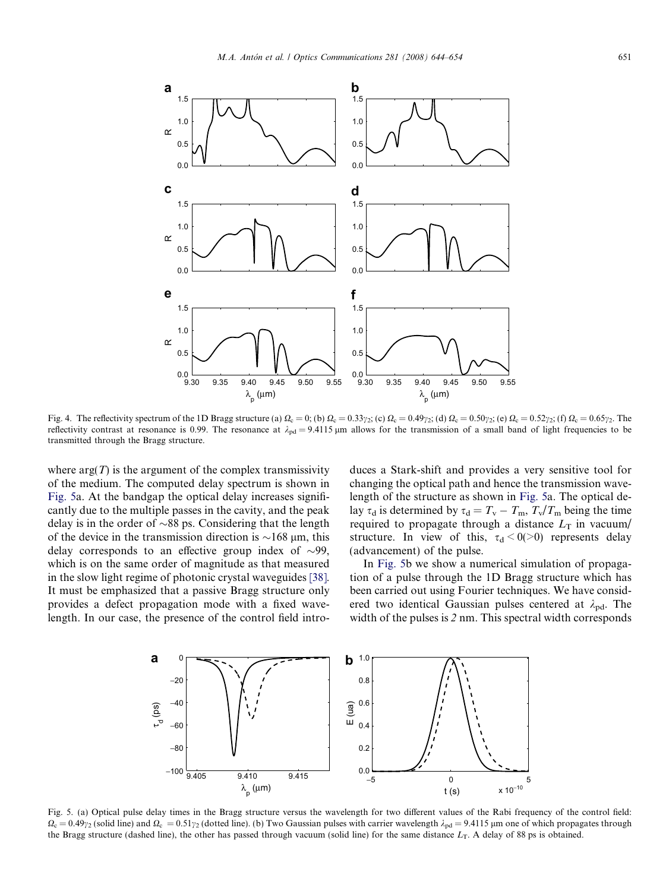<span id="page-7-0"></span>

Fig. 4. The reflectivity spectrum of the 1D Bragg structure (a)  $\Omega_c = 0$ ; (b)  $\Omega_c = 0.33\gamma_2$ ; (c)  $\Omega_c = 0.49\gamma_2$ ; (d)  $\Omega_c = 0.50\gamma_2$ ; (e)  $\Omega_c = 0.52\gamma_2$ ; (f)  $\Omega_c = 0.65\gamma_2$ . The reflectivity contrast at resonance is 0.99. The resonance at  $\lambda_{pd} = 9.4115 \,\mu m$  allows for the transmission of a small band of light frequencies to be transmitted through the Bragg structure.

where  $arg(T)$  is the argument of the complex transmissivity of the medium. The computed delay spectrum is shown in Fig. 5a. At the bandgap the optical delay increases significantly due to the multiple passes in the cavity, and the peak delay is in the order of  $\sim 88$  ps. Considering that the length of the device in the transmission direction is  $\sim$ 168 µm, this delay corresponds to an effective group index of  $\sim$ 99, which is on the same order of magnitude as that measured in the slow light regime of photonic crystal waveguides [\[38\].](#page-10-0) It must be emphasized that a passive Bragg structure only provides a defect propagation mode with a fixed wavelength. In our case, the presence of the control field introduces a Stark-shift and provides a very sensitive tool for changing the optical path and hence the transmission wavelength of the structure as shown in Fig. 5a. The optical delay  $\tau_d$  is determined by  $\tau_d = T_v - T_m$ ,  $T_v/T_m$  being the time required to propagate through a distance  $L<sub>T</sub>$  in vacuum/ structure. In view of this,  $\tau_d < 0(>0)$  represents delay (advancement) of the pulse.

In Fig. 5b we show a numerical simulation of propagation of a pulse through the 1D Bragg structure which has been carried out using Fourier techniques. We have considered two identical Gaussian pulses centered at  $\lambda_{\text{pd}}$ . The width of the pulses is 2 nm. This spectral width corresponds



Fig. 5. (a) Optical pulse delay times in the Bragg structure versus the wavelength for two different values of the Rabi frequency of the control field:  $\Omega_c = 0.49\gamma_2$  (solid line) and  $\Omega_c = 0.51\gamma_2$  (dotted line). (b) Two Gaussian pulses with carrier wavelength  $\lambda_{\text{pd}} = 9.4115$  µm one of which propagates through the Bragg structure (dashed line), the other has passed through vacuum (solid line) for the same distance  $L_T$ . A delay of 88 ps is obtained.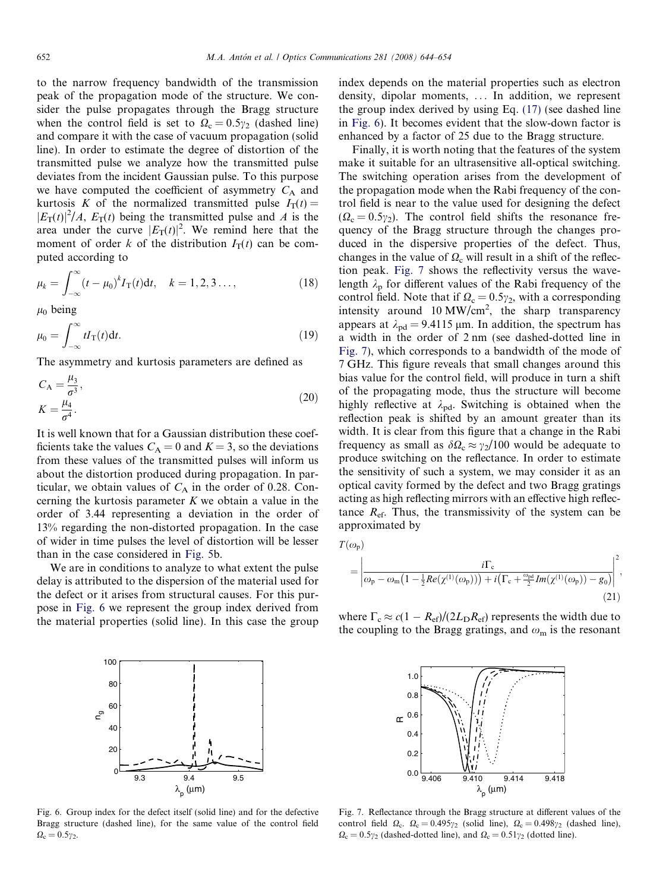<span id="page-8-0"></span>to the narrow frequency bandwidth of the transmission peak of the propagation mode of the structure. We consider the pulse propagates through the Bragg structure when the control field is set to  $\Omega_c = 0.5\gamma_2$  (dashed line) and compare it with the case of vacuum propagation (solid line). In order to estimate the degree of distortion of the transmitted pulse we analyze how the transmitted pulse deviates from the incident Gaussian pulse. To this purpose we have computed the coefficient of asymmetry  $C_A$  and kurtosis K of the normalized transmitted pulse  $I_T(t)$  =  $|E_T(t)|^2/A$ ,  $E_T(t)$  being the transmitted pulse and A is the area under the curve  $|E_T(t)|^2$ . We remind here that the moment of order k of the distribution  $I_T(t)$  can be computed according to

$$
\mu_k = \int_{-\infty}^{\infty} (t - \mu_0)^k I_T(t) dt, \quad k = 1, 2, 3 \dots,
$$
\n(18)

 $\mu_0$  being

$$
\mu_0 = \int_{-\infty}^{\infty} t I_{\rm T}(t) \mathrm{d}t. \tag{19}
$$

The asymmetry and kurtosis parameters are defined as

$$
C_A = \frac{\mu_3}{\sigma^3},
$$
  
\n
$$
K = \frac{\mu_4}{\sigma^4}.
$$
\n(20)

It is well known that for a Gaussian distribution these coefficients take the values  $C_A = 0$  and  $K = 3$ , so the deviations from these values of the transmitted pulses will inform us about the distortion produced during propagation. In particular, we obtain values of  $C_A$  in the order of 0.28. Concerning the kurtosis parameter  $K$  we obtain a value in the order of 3.44 representing a deviation in the order of 13% regarding the non-distorted propagation. In the case of wider in time pulses the level of distortion will be lesser than in the case considered in [Fig. 5](#page-7-0)b.

We are in conditions to analyze to what extent the pulse delay is attributed to the dispersion of the material used for the defect or it arises from structural causes. For this purpose in Fig. 6 we represent the group index derived from the material properties (solid line). In this case the group



Fig. 6. Group index for the defect itself (solid line) and for the defective Bragg structure (dashed line), for the same value of the control field  $\Omega_c = 0.5\gamma_2.$ 

index depends on the material properties such as electron density, dipolar moments, ... In addition, we represent the group index derived by using Eq. [\(17\)](#page-6-0) (see dashed line in Fig. 6). It becomes evident that the slow-down factor is enhanced by a factor of 25 due to the Bragg structure.

Finally, it is worth noting that the features of the system make it suitable for an ultrasensitive all-optical switching. The switching operation arises from the development of the propagation mode when the Rabi frequency of the control field is near to the value used for designing the defect  $(\Omega_c = 0.5\gamma_2)$ . The control field shifts the resonance frequency of the Bragg structure through the changes produced in the dispersive properties of the defect. Thus, changes in the value of  $\Omega_c$  will result in a shift of the reflection peak. Fig. 7 shows the reflectivity versus the wavelength  $\lambda_p$  for different values of the Rabi frequency of the control field. Note that if  $\Omega_c = 0.5\gamma_2$ , with a corresponding intensity around  $10 \text{ MW/cm}^2$ , the sharp transparency appears at  $\lambda_{\text{pd}} = 9.4115 \,\mu\text{m}$ . In addition, the spectrum has a width in the order of 2 nm (see dashed-dotted line in Fig. 7), which corresponds to a bandwidth of the mode of 7 GHz. This figure reveals that small changes around this bias value for the control field, will produce in turn a shift of the propagating mode, thus the structure will become highly reflective at  $\lambda_{\text{pd}}$ . Switching is obtained when the reflection peak is shifted by an amount greater than its width. It is clear from this figure that a change in the Rabi frequency as small as  $\delta \Omega_c \approx \gamma_2/100$  would be adequate to produce switching on the reflectance. In order to estimate the sensitivity of such a system, we may consider it as an optical cavity formed by the defect and two Bragg gratings acting as high reflecting mirrors with an effective high reflectance  $R_{\rm ef}$ . Thus, the transmissivity of the system can be approximated by

$$
T(\omega_{\rm p})
$$
\n
$$
= \left| \frac{i\Gamma_{\rm c}}{\omega_{\rm p} - \omega_{\rm m} \left(1 - \frac{1}{2}Re(\chi^{(1)}(\omega_{\rm p}))\right) + i\left(\Gamma_{\rm c} + \frac{\omega_{\rm pd}}{2}Im(\chi^{(1)}(\omega_{\rm p})) - g_0\right)} \right|^2,
$$
\n(21)

where  $\Gamma_c \approx c(1 - R_{\text{ef}})/(2L_{\text{D}}R_{\text{ef}})$  represents the width due to the coupling to the Bragg gratings, and  $\omega_m$  is the resonant



Fig. 7. Reflectance through the Bragg structure at different values of the control field  $\Omega_c$ .  $\Omega_c = 0.495\gamma_2$  (solid line),  $\Omega_c = 0.498\gamma_2$  (dashed line),  $\Omega_c = 0.5\gamma_2$  (dashed-dotted line), and  $\Omega_c = 0.51\gamma_2$  (dotted line).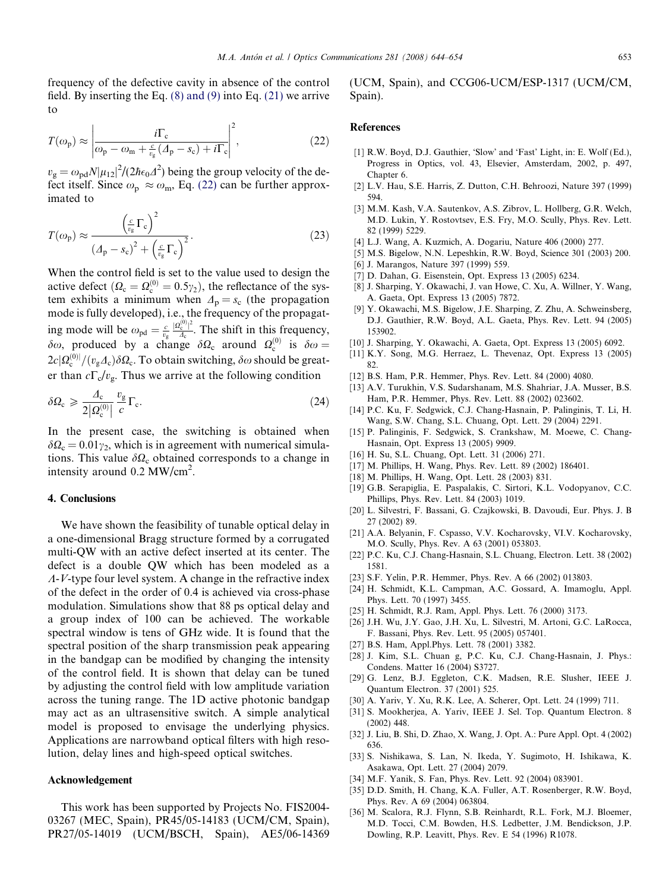<span id="page-9-0"></span>frequency of the defective cavity in absence of the control field. By inserting the Eq. [\(8\) and \(9\)](#page-4-0) into Eq. [\(21\)](#page-8-0) we arrive to

$$
T(\omega_{\rm p}) \approx \left| \frac{i\Gamma_{\rm c}}{\omega_{\rm p} - \omega_{\rm m} + \frac{c}{v_{\rm g}}(A_{\rm p} - s_{\rm c}) + i\Gamma_{\rm c}} \right|^2, \tag{22}
$$

 $v_{\rm g} = \omega_{\rm pd} N |\mu_{12}|^2 / (2\hbar \epsilon_0 \Delta^2)$  being the group velocity of the defect itself. Since  $\omega_p \approx \omega_m$ , Eq. (22) can be further approximated to

$$
T(\omega_{\rm p}) \approx \frac{\left(\frac{c}{v_{\rm g}}\Gamma_{\rm c}\right)^2}{\left(A_{\rm p} - s_{\rm c}\right)^2 + \left(\frac{c}{v_{\rm g}}\Gamma_{\rm c}\right)^2}.
$$
 (23)

When the control field is set to the value used to design the active defect  $(\Omega_c = \Omega_c^{(0)} = 0.5\gamma_2)$ , the reflectance of the system exhibits a minimum when  $\Delta_p = s_c$  (the propagation mode is fully developed), i.e., the frequency of the propagating mode will be  $\omega_{pd} = \frac{c}{v_g}$  $\frac{|\Omega_{c}^{(0)}|^2}{4c}$ . The shift in this frequency,  $\delta\omega$ , produced by a change  $\delta\Omega_c$  around  $\Omega_c^{(0)}$  is  $\delta\omega =$  $2c|\varOmega_{\rm c}^{(0)}|/(v_{\rm g}\varDelta_{\rm c})\delta\varOmega_{\rm c}.$  To obtain switching,  $\delta\omega$  should be greater than  $c\Gamma_c/v_g$ . Thus we arrive at the following condition

$$
\delta \Omega_{\rm c} \geqslant \frac{\varDelta_{\rm c}}{2|Q_{\rm c}^{(0)}|} \frac{v_{\rm g}}{c} \Gamma_{\rm c}.\tag{24}
$$

In the present case, the switching is obtained when  $\delta\Omega_c = 0.01\gamma_2$ , which is in agreement with numerical simulations. This value  $\delta\Omega_c$  obtained corresponds to a change in intensity around 0.2 MW/cm<sup>2</sup>.

## 4. Conclusions

We have shown the feasibility of tunable optical delay in a one-dimensional Bragg structure formed by a corrugated multi-QW with an active defect inserted at its center. The defect is a double QW which has been modeled as a  $A-V$ -type four level system. A change in the refractive index of the defect in the order of 0.4 is achieved via cross-phase modulation. Simulations show that 88 ps optical delay and a group index of 100 can be achieved. The workable spectral window is tens of GHz wide. It is found that the spectral position of the sharp transmission peak appearing in the bandgap can be modified by changing the intensity of the control field. It is shown that delay can be tuned by adjusting the control field with low amplitude variation across the tuning range. The 1D active photonic bandgap may act as an ultrasensitive switch. A simple analytical model is proposed to envisage the underlying physics. Applications are narrowband optical filters with high resolution, delay lines and high-speed optical switches.

#### Acknowledgement

This work has been supported by Projects No. FIS2004- 03267 (MEC, Spain), PR45/05-14183 (UCM/CM, Spain), PR27/05-14019 (UCM/BSCH, Spain), AE5/06-14369 (UCM, Spain), and CCG06-UCM/ESP-1317 (UCM/CM, Spain).

### References

- [1] R.W. Boyd, D.J. Gauthier, 'Slow' and 'Fast' Light, in: E. Wolf (Ed.), Progress in Optics, vol. 43, Elsevier, Amsterdam, 2002, p. 497, Chapter 6.
- [2] L.V. Hau, S.E. Harris, Z. Dutton, C.H. Behroozi, Nature 397 (1999) 594.
- [3] M.M. Kash, V.A. Sautenkov, A.S. Zibrov, L. Hollberg, G.R. Welch, M.D. Lukin, Y. Rostovtsev, E.S. Fry, M.O. Scully, Phys. Rev. Lett. 82 (1999) 5229.
- [4] L.J. Wang, A. Kuzmich, A. Dogariu, Nature 406 (2000) 277.
- [5] M.S. Bigelow, N.N. Lepeshkin, R.W. Boyd, Science 301 (2003) 200. [6] J. Marangos, Nature 397 (1999) 559.
- [7] D. Dahan, G. Eisenstein, Opt. Express 13 (2005) 6234.
- [8] J. Sharping, Y. Okawachi, J. van Howe, C. Xu, A. Willner, Y. Wang, A. Gaeta, Opt. Express 13 (2005) 7872.
- [9] Y. Okawachi, M.S. Bigelow, J.E. Sharping, Z. Zhu, A. Schweinsberg, D.J. Gauthier, R.W. Boyd, A.L. Gaeta, Phys. Rev. Lett. 94 (2005) 153902.
- [10] J. Sharping, Y. Okawachi, A. Gaeta, Opt. Express 13 (2005) 6092.
- [11] K.Y. Song, M.G. Herraez, L. Thevenaz, Opt. Express 13 (2005) 82.
- [12] B.S. Ham, P.R. Hemmer, Phys. Rev. Lett. 84 (2000) 4080.
- [13] A.V. Turukhin, V.S. Sudarshanam, M.S. Shahriar, J.A. Musser, B.S. Ham, P.R. Hemmer, Phys. Rev. Lett. 88 (2002) 023602.
- [14] P.C. Ku, F. Sedgwick, C.J. Chang-Hasnain, P. Palinginis, T. Li, H. Wang, S.W. Chang, S.L. Chuang, Opt. Lett. 29 (2004) 2291.
- [15] P. Palinginis, F. Sedgwick, S. Crankshaw, M. Moewe, C. Chang-Hasnain, Opt. Express 13 (2005) 9909.
- [16] H. Su, S.L. Chuang, Opt. Lett. 31 (2006) 271.
- [17] M. Phillips, H. Wang, Phys. Rev. Lett. 89 (2002) 186401.
- [18] M. Phillips, H. Wang, Opt. Lett. 28 (2003) 831.
- [19] G.B. Serapiglia, E. Paspalakis, C. Sirtori, K.L. Vodopyanov, C.C. Phillips, Phys. Rev. Lett. 84 (2003) 1019.
- [20] L. Silvestri, F. Bassani, G. Czajkowski, B. Davoudi, Eur. Phys. J. B 27 (2002) 89.
- [21] A.A. Belyanin, F. Cspasso, V.V. Kocharovsky, VI.V. Kocharovsky, M.O. Scully, Phys. Rev. A 63 (2001) 053803.
- [22] P.C. Ku, C.J. Chang-Hasnain, S.L. Chuang, Electron. Lett. 38 (2002) 1581.
- [23] S.F. Yelin, P.R. Hemmer, Phys. Rev. A 66 (2002) 013803.
- [24] H. Schmidt, K.L. Campman, A.C. Gossard, A. Imamoglu, Appl. Phys. Lett. 70 (1997) 3455.
- [25] H. Schmidt, R.J. Ram, Appl. Phys. Lett. 76 (2000) 3173.
- [26] J.H. Wu, J.Y. Gao, J.H. Xu, L. Silvestri, M. Artoni, G.C. LaRocca, F. Bassani, Phys. Rev. Lett. 95 (2005) 057401.
- [27] B.S. Ham, Appl.Phys. Lett. 78 (2001) 3382.
- [28] J. Kim, S.L. Chuan g, P.C. Ku, C.J. Chang-Hasnain, J. Phys.: Condens. Matter 16 (2004) S3727.
- [29] G. Lenz, B.J. Eggleton, C.K. Madsen, R.E. Slusher, IEEE J. Quantum Electron. 37 (2001) 525.
- [30] A. Yariv, Y. Xu, R.K. Lee, A. Scherer, Opt. Lett. 24 (1999) 711.
- [31] S. Mookherjea, A. Yariv, IEEE J. Sel. Top. Quantum Electron. 8 (2002) 448.
- [32] J. Liu, B. Shi, D. Zhao, X. Wang, J. Opt. A.: Pure Appl. Opt. 4 (2002) 636.
- [33] S. Nishikawa, S. Lan, N. Ikeda, Y. Sugimoto, H. Ishikawa, K. Asakawa, Opt. Lett. 27 (2004) 2079.
- [34] M.F. Yanik, S. Fan, Phys. Rev. Lett. 92 (2004) 083901.
- [35] D.D. Smith, H. Chang, K.A. Fuller, A.T. Rosenberger, R.W. Boyd, Phys. Rev. A 69 (2004) 063804.
- [36] M. Scalora, R.J. Flynn, S.B. Reinhardt, R.L. Fork, M.J. Bloemer, M.D. Tocci, C.M. Bowden, H.S. Ledbetter, J.M. Bendickson, J.P. Dowling, R.P. Leavitt, Phys. Rev. E 54 (1996) R1078.